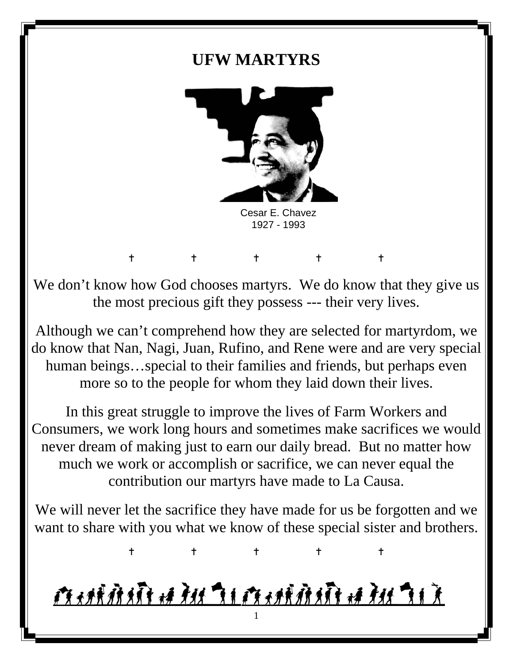# **UFW MARTYRS**



 Cesar E. Chavez 1927 - 1993

We don't know how God chooses martyrs. We do know that they give us the most precious gift they possess --- their very lives.

 $\begin{array}{cccccccccccccc} t & t & t & t & t & t \end{array}$ 

Although we can't comprehend how they are selected for martyrdom, we do know that Nan, Nagi, Juan, Rufino, and Rene were and are very special human beings…special to their families and friends, but perhaps even more so to the people for whom they laid down their lives.

In this great struggle to improve the lives of Farm Workers and Consumers, we work long hours and sometimes make sacrifices we would never dream of making just to earn our daily bread. But no matter how much we work or accomplish or sacrifice, we can never equal the contribution our martyrs have made to La Causa.

We will never let the sacrifice they have made for us be forgotten and we want to share with you what we know of these special sister and brothers.

 $\begin{array}{cccccccccccccc} t & t & t & t & t & t \end{array}$ 

# <u>Amiddi a du di Amiddi a du di d</u> 1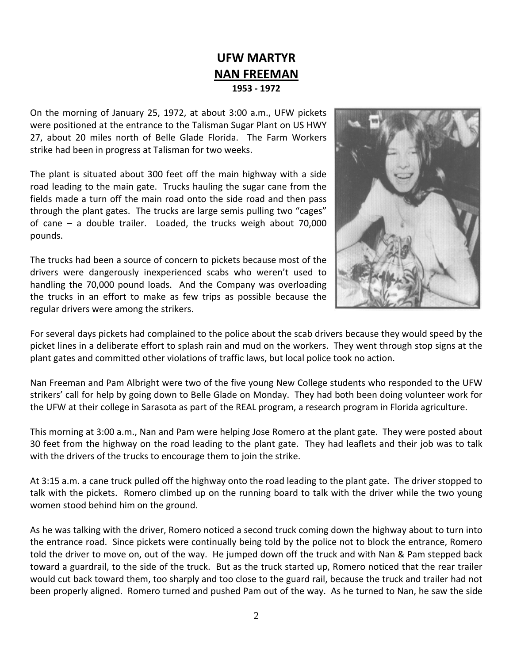# **UFW MARTYR NAN FREEMAN 1953 ‐ 1972**

On the morning of January 25, 1972, at about 3:00 a.m., UFW pickets were positioned at the entrance to the Talisman Sugar Plant on US HWY 27, about 20 miles north of Belle Glade Florida. The Farm Workers strike had been in progress at Talisman for two weeks.

The plant is situated about 300 feet off the main highway with a side road leading to the main gate. Trucks hauling the sugar cane from the fields made a turn off the main road onto the side road and then pass through the plant gates. The trucks are large semis pulling two "cages" of cane – a double trailer. Loaded, the trucks weigh about 70,000 pounds.

The trucks had been a source of concern to pickets because most of the drivers were dangerously inexperienced scabs who weren't used to handling the 70,000 pound loads. And the Company was overloading the trucks in an effort to make as few trips as possible because the regular drivers were among the strikers.



For several days pickets had complained to the police about the scab drivers because they would speed by the picket lines in a deliberate effort to splash rain and mud on the workers. They went through stop signs at the plant gates and committed other violations of traffic laws, but local police took no action.

Nan Freeman and Pam Albright were two of the five young New College students who responded to the UFW strikers' call for help by going down to Belle Glade on Monday. They had both been doing volunteer work for the UFW at their college in Sarasota as part of the REAL program, a research program in Florida agriculture.

This morning at 3:00 a.m., Nan and Pam were helping Jose Romero at the plant gate. They were posted about 30 feet from the highway on the road leading to the plant gate. They had leaflets and their job was to talk with the drivers of the trucks to encourage them to join the strike.

At 3:15 a.m. a cane truck pulled off the highway onto the road leading to the plant gate. The driver stopped to talk with the pickets. Romero climbed up on the running board to talk with the driver while the two young women stood behind him on the ground.

As he was talking with the driver, Romero noticed a second truck coming down the highway about to turn into the entrance road. Since pickets were continually being told by the police not to block the entrance, Romero told the driver to move on, out of the way. He jumped down off the truck and with Nan & Pam stepped back toward a guardrail, to the side of the truck. But as the truck started up, Romero noticed that the rear trailer would cut back toward them, too sharply and too close to the guard rail, because the truck and trailer had not been properly aligned. Romero turned and pushed Pam out of the way. As he turned to Nan, he saw the side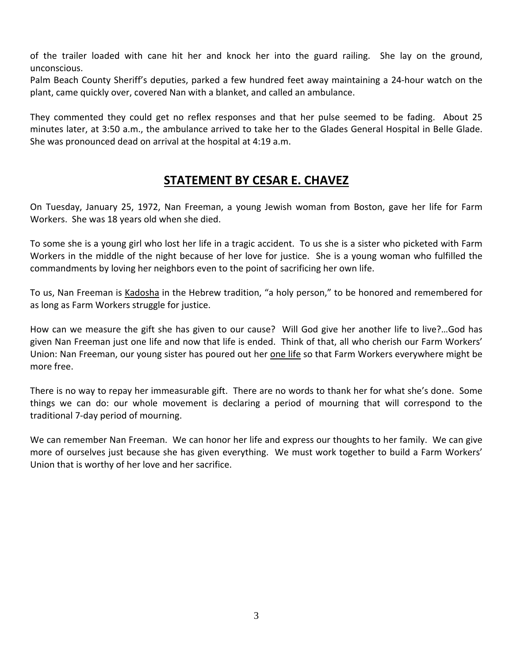of the trailer loaded with cane hit her and knock her into the guard railing. She lay on the ground, unconscious.

Palm Beach County Sheriff's deputies, parked a few hundred feet away maintaining a 24‐hour watch on the plant, came quickly over, covered Nan with a blanket, and called an ambulance.

They commented they could get no reflex responses and that her pulse seemed to be fading. About 25 minutes later, at 3:50 a.m., the ambulance arrived to take her to the Glades General Hospital in Belle Glade. She was pronounced dead on arrival at the hospital at 4:19 a.m.

#### **STATEMENT BY CESAR E. CHAVEZ**

On Tuesday, January 25, 1972, Nan Freeman, a young Jewish woman from Boston, gave her life for Farm Workers. She was 18 years old when she died.

To some she is a young girl who lost her life in a tragic accident. To us she is a sister who picketed with Farm Workers in the middle of the night because of her love for justice. She is a young woman who fulfilled the commandments by loving her neighbors even to the point of sacrificing her own life.

To us, Nan Freeman is Kadosha in the Hebrew tradition, "a holy person," to be honored and remembered for as long as Farm Workers struggle for justice.

How can we measure the gift she has given to our cause? Will God give her another life to live?…God has given Nan Freeman just one life and now that life is ended. Think of that, all who cherish our Farm Workers' Union: Nan Freeman, our young sister has poured out her one life so that Farm Workers everywhere might be more free.

There is no way to repay her immeasurable gift. There are no words to thank her for what she's done. Some things we can do: our whole movement is declaring a period of mourning that will correspond to the traditional 7‐day period of mourning.

We can remember Nan Freeman. We can honor her life and express our thoughts to her family. We can give more of ourselves just because she has given everything. We must work together to build a Farm Workers' Union that is worthy of her love and her sacrifice.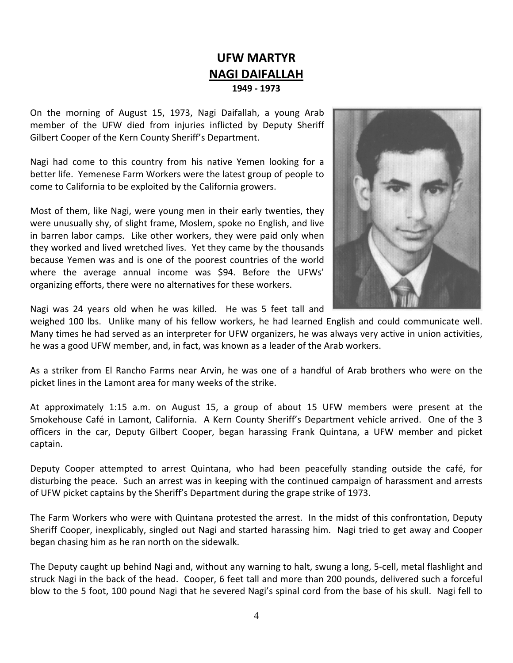#### **UFW MARTYR NAGI DAIFALLAH 1949 ‐ 1973**

On the morning of August 15, 1973, Nagi Daifallah, a young Arab member of the UFW died from injuries inflicted by Deputy Sheriff Gilbert Cooper of the Kern County Sheriff's Department.

Nagi had come to this country from his native Yemen looking for a better life. Yemenese Farm Workers were the latest group of people to come to California to be exploited by the California growers.

Most of them, like Nagi, were young men in their early twenties, they were unusually shy, of slight frame, Moslem, spoke no English, and live in barren labor camps. Like other workers, they were paid only when they worked and lived wretched lives. Yet they came by the thousands because Yemen was and is one of the poorest countries of the world where the average annual income was \$94. Before the UFWs' organizing efforts, there were no alternatives for these workers.



Nagi was 24 years old when he was killed. He was 5 feet tall and

weighed 100 lbs. Unlike many of his fellow workers, he had learned English and could communicate well. Many times he had served as an interpreter for UFW organizers, he was always very active in union activities, he was a good UFW member, and, in fact, was known as a leader of the Arab workers.

As a striker from El Rancho Farms near Arvin, he was one of a handful of Arab brothers who were on the picket lines in the Lamont area for many weeks of the strike.

At approximately 1:15 a.m. on August 15, a group of about 15 UFW members were present at the Smokehouse Café in Lamont, California. A Kern County Sheriff's Department vehicle arrived. One of the 3 officers in the car, Deputy Gilbert Cooper, began harassing Frank Quintana, a UFW member and picket captain.

Deputy Cooper attempted to arrest Quintana, who had been peacefully standing outside the café, for disturbing the peace. Such an arrest was in keeping with the continued campaign of harassment and arrests of UFW picket captains by the Sheriff's Department during the grape strike of 1973.

The Farm Workers who were with Quintana protested the arrest. In the midst of this confrontation, Deputy Sheriff Cooper, inexplicably, singled out Nagi and started harassing him. Nagi tried to get away and Cooper began chasing him as he ran north on the sidewalk.

The Deputy caught up behind Nagi and, without any warning to halt, swung a long, 5‐cell, metal flashlight and struck Nagi in the back of the head. Cooper, 6 feet tall and more than 200 pounds, delivered such a forceful blow to the 5 foot, 100 pound Nagi that he severed Nagi's spinal cord from the base of his skull. Nagi fell to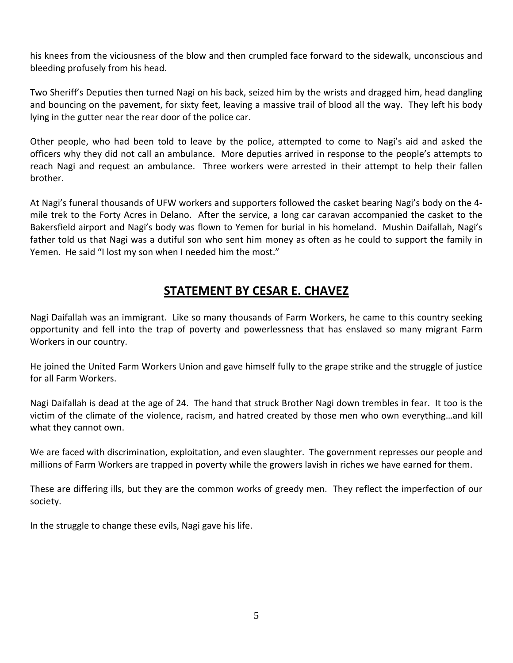his knees from the viciousness of the blow and then crumpled face forward to the sidewalk, unconscious and bleeding profusely from his head.

Two Sheriff's Deputies then turned Nagi on his back, seized him by the wrists and dragged him, head dangling and bouncing on the pavement, for sixty feet, leaving a massive trail of blood all the way. They left his body lying in the gutter near the rear door of the police car.

Other people, who had been told to leave by the police, attempted to come to Nagi's aid and asked the officers why they did not call an ambulance. More deputies arrived in response to the people's attempts to reach Nagi and request an ambulance. Three workers were arrested in their attempt to help their fallen brother.

At Nagi's funeral thousands of UFW workers and supporters followed the casket bearing Nagi's body on the 4‐ mile trek to the Forty Acres in Delano. After the service, a long car caravan accompanied the casket to the Bakersfield airport and Nagi's body was flown to Yemen for burial in his homeland. Mushin Daifallah, Nagi's father told us that Nagi was a dutiful son who sent him money as often as he could to support the family in Yemen. He said "I lost my son when I needed him the most."

# **STATEMENT BY CESAR E. CHAVEZ**

Nagi Daifallah was an immigrant. Like so many thousands of Farm Workers, he came to this country seeking opportunity and fell into the trap of poverty and powerlessness that has enslaved so many migrant Farm Workers in our country.

He joined the United Farm Workers Union and gave himself fully to the grape strike and the struggle of justice for all Farm Workers.

Nagi Daifallah is dead at the age of 24. The hand that struck Brother Nagi down trembles in fear. It too is the victim of the climate of the violence, racism, and hatred created by those men who own everything…and kill what they cannot own.

We are faced with discrimination, exploitation, and even slaughter. The government represses our people and millions of Farm Workers are trapped in poverty while the growers lavish in riches we have earned for them.

These are differing ills, but they are the common works of greedy men. They reflect the imperfection of our society.

In the struggle to change these evils, Nagi gave his life.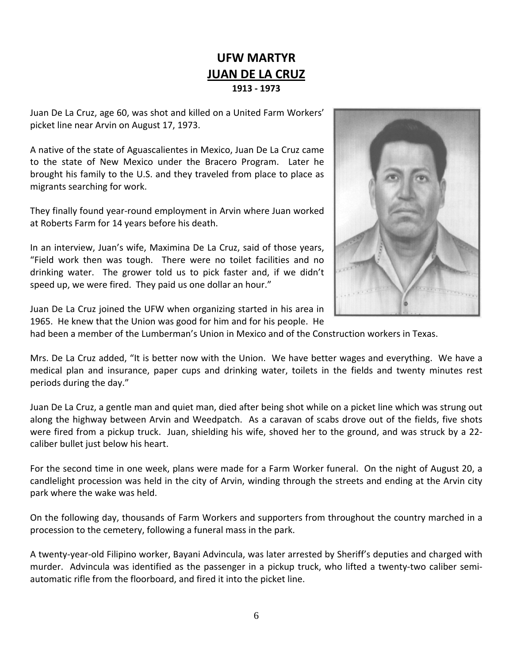# **UFW MARTYR JUAN DE LA CRUZ 1913 ‐ 1973**

Juan De La Cruz, age 60, was shot and killed on a United Farm Workers' picket line near Arvin on August 17, 1973.

A native of the state of Aguascalientes in Mexico, Juan De La Cruz came to the state of New Mexico under the Bracero Program. Later he brought his family to the U.S. and they traveled from place to place as migrants searching for work.

They finally found year‐round employment in Arvin where Juan worked at Roberts Farm for 14 years before his death.

In an interview, Juan's wife, Maximina De La Cruz, said of those years, "Field work then was tough. There were no toilet facilities and no drinking water. The grower told us to pick faster and, if we didn't speed up, we were fired. They paid us one dollar an hour."



Juan De La Cruz joined the UFW when organizing started in his area in 1965. He knew that the Union was good for him and for his people. He

had been a member of the Lumberman's Union in Mexico and of the Construction workers in Texas.

Mrs. De La Cruz added, "It is better now with the Union. We have better wages and everything. We have a medical plan and insurance, paper cups and drinking water, toilets in the fields and twenty minutes rest periods during the day."

Juan De La Cruz, a gentle man and quiet man, died after being shot while on a picket line which was strung out along the highway between Arvin and Weedpatch. As a caravan of scabs drove out of the fields, five shots were fired from a pickup truck. Juan, shielding his wife, shoved her to the ground, and was struck by a 22‐ caliber bullet just below his heart.

For the second time in one week, plans were made for a Farm Worker funeral. On the night of August 20, a candlelight procession was held in the city of Arvin, winding through the streets and ending at the Arvin city park where the wake was held.

On the following day, thousands of Farm Workers and supporters from throughout the country marched in a procession to the cemetery, following a funeral mass in the park.

A twenty‐year‐old Filipino worker, Bayani Advincula, was later arrested by Sheriff's deputies and charged with murder. Advincula was identified as the passenger in a pickup truck, who lifted a twenty-two caliber semiautomatic rifle from the floorboard, and fired it into the picket line.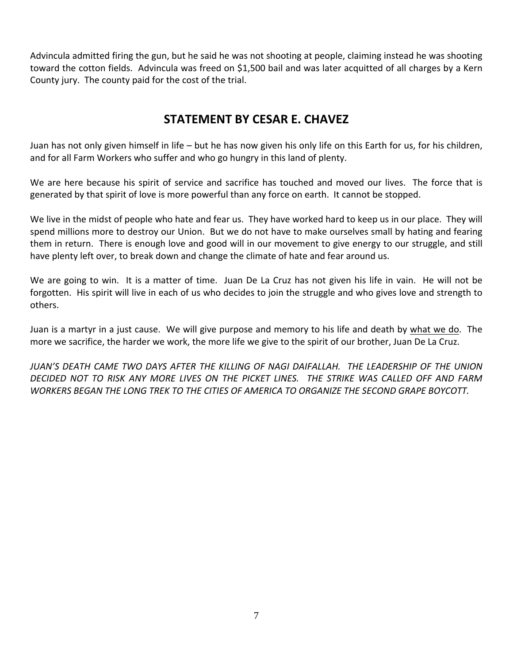Advincula admitted firing the gun, but he said he was not shooting at people, claiming instead he was shooting toward the cotton fields. Advincula was freed on \$1,500 bail and was later acquitted of all charges by a Kern County jury. The county paid for the cost of the trial.

#### **STATEMENT BY CESAR E. CHAVEZ**

Juan has not only given himself in life – but he has now given his only life on this Earth for us, for his children, and for all Farm Workers who suffer and who go hungry in this land of plenty.

We are here because his spirit of service and sacrifice has touched and moved our lives. The force that is generated by that spirit of love is more powerful than any force on earth. It cannot be stopped.

We live in the midst of people who hate and fear us. They have worked hard to keep us in our place. They will spend millions more to destroy our Union. But we do not have to make ourselves small by hating and fearing them in return. There is enough love and good will in our movement to give energy to our struggle, and still have plenty left over, to break down and change the climate of hate and fear around us.

We are going to win. It is a matter of time. Juan De La Cruz has not given his life in vain. He will not be forgotten. His spirit will live in each of us who decides to join the struggle and who gives love and strength to others.

Juan is a martyr in a just cause. We will give purpose and memory to his life and death by what we do. The more we sacrifice, the harder we work, the more life we give to the spirit of our brother, Juan De La Cruz.

*JUAN'S DEATH CAME TWO DAYS AFTER THE KILLING OF NAGI DAIFALLAH. THE LEADERSHIP OF THE UNION* DECIDED NOT TO RISK ANY MORE LIVES ON THE PICKET LINES. THE STRIKE WAS CALLED OFF AND FARM *WORKERS BEGAN THE LONG TREK TO THE CITIES OF AMERICA TO ORGANIZE THE SECOND GRAPE BOYCOTT.*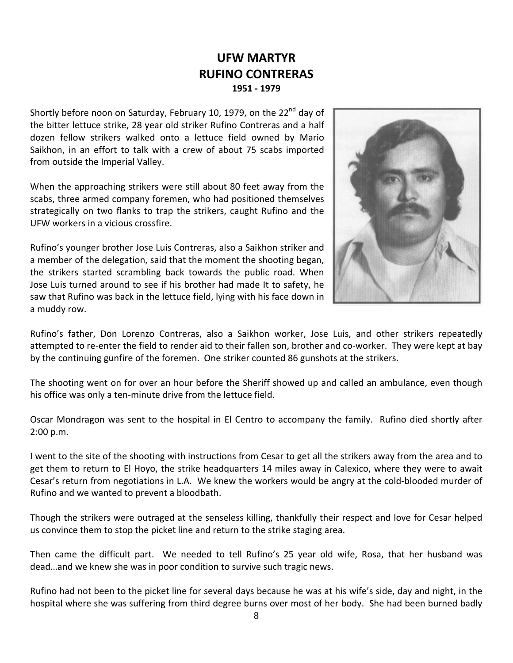#### **UFW MARTYR RUFINO CONTRERAS 1951 ‐ 1979**

Shortly before noon on Saturday, February 10, 1979, on the  $22^{nd}$  day of the bitter lettuce strike, 28 year old striker Rufino Contreras and a half dozen fellow strikers walked onto a lettuce field owned by Mario Saikhon, in an effort to talk with a crew of about 75 scabs imported from outside the Imperial Valley.

When the approaching strikers were still about 80 feet away from the scabs, three armed company foremen, who had positioned themselves strategically on two flanks to trap the strikers, caught Rufino and the UFW workers in a vicious crossfire.

Rufino's younger brother Jose Luis Contreras, also a Saikhon striker and a member of the delegation, said that the moment the shooting began, the strikers started scrambling back towards the public road. When Jose Luis turned around to see if his brother had made It to safety, he saw that Rufino was back in the lettuce field, lying with his face down in a muddy row.



Rufino's father, Don Lorenzo Contreras, also a Saikhon worker, Jose Luis, and other strikers repeatedly attempted to re-enter the field to render aid to their fallen son, brother and co-worker. They were kept at bay by the continuing gunfire of the foremen. One striker counted 86 gunshots at the strikers.

The shooting went on for over an hour before the Sheriff showed up and called an ambulance, even though his office was only a ten-minute drive from the lettuce field.

Oscar Mondragon was sent to the hospital in El Centro to accompany the family. Rufino died shortly after 2:00 p.m.

I went to the site of the shooting with instructions from Cesar to get all the strikers away from the area and to get them to return to El Hoyo, the strike headquarters 14 miles away in Calexico, where they were to await Cesar's return from negotiations in L.A. We knew the workers would be angry at the cold‐blooded murder of Rufino and we wanted to prevent a bloodbath.

Though the strikers were outraged at the senseless killing, thankfully their respect and love for Cesar helped us convince them to stop the picket line and return to the strike staging area.

Then came the difficult part. We needed to tell Rufino's 25 year old wife, Rosa, that her husband was dead…and we knew she was in poor condition to survive such tragic news.

Rufino had not been to the picket line for several days because he was at his wife's side, day and night, in the hospital where she was suffering from third degree burns over most of her body. She had been burned badly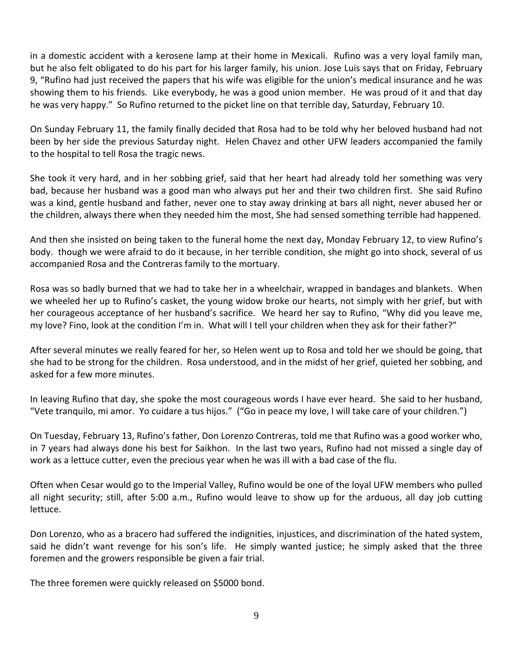in a domestic accident with a kerosene lamp at their home in Mexicali. Rufino was a very loyal family man, but he also felt obligated to do his part for his larger family, his union. Jose Luis says that on Friday, February 9, "Rufino had just received the papers that his wife was eligible for the union's medical insurance and he was showing them to his friends. Like everybody, he was a good union member. He was proud of it and that day he was very happy." So Rufino returned to the picket line on that terrible day, Saturday, February 10.

On Sunday February 11, the family finally decided that Rosa had to be told why her beloved husband had not been by her side the previous Saturday night. Helen Chavez and other UFW leaders accompanied the family to the hospital to tell Rosa the tragic news.

She took it very hard, and in her sobbing grief, said that her heart had already told her something was very bad, because her husband was a good man who always put her and their two children first. She said Rufino was a kind, gentle husband and father, never one to stay away drinking at bars all night, never abused her or the children, always there when they needed him the most, She had sensed something terrible had happened.

And then she insisted on being taken to the funeral home the next day, Monday February 12, to view Rufino's body. though we were afraid to do it because, in her terrible condition, she might go into shock, several of us accompanied Rosa and the Contreras family to the mortuary.

Rosa was so badly burned that we had to take her in a wheelchair, wrapped in bandages and blankets. When we wheeled her up to Rufino's casket, the young widow broke our hearts, not simply with her grief, but with her courageous acceptance of her husband's sacrifice. We heard her say to Rufino, "Why did you leave me, my love? Fino, look at the condition I'm in. What will I tell your children when they ask for their father?"

After several minutes we really feared for her, so Helen went up to Rosa and told her we should be going, that she had to be strong for the children. Rosa understood, and in the midst of her grief, quieted her sobbing, and asked for a few more minutes.

In leaving Rufino that day, she spoke the most courageous words I have ever heard. She said to her husband, "Vete tranquilo, mi amor. Yo cuidare a tus hijos." ("Go in peace my love, I will take care of your children.")

On Tuesday, February 13, Rufino's father, Don Lorenzo Contreras, told me that Rufino was a good worker who, in 7 years had always done his best for Saikhon. In the last two years, Rufino had not missed a single day of work as a lettuce cutter, even the precious year when he was ill with a bad case of the flu.

Often when Cesar would go to the Imperial Valley, Rufino would be one of the loyal UFW members who pulled all night security; still, after 5:00 a.m., Rufino would leave to show up for the arduous, all day job cutting lettuce.

Don Lorenzo, who as a bracero had suffered the indignities, injustices, and discrimination of the hated system, said he didn't want revenge for his son's life. He simply wanted justice; he simply asked that the three foremen and the growers responsible be given a fair trial.

The three foremen were quickly released on \$5000 bond.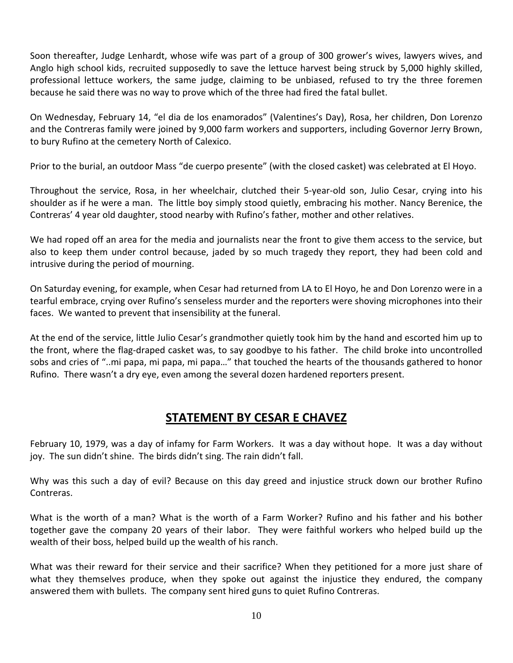Soon thereafter, Judge Lenhardt, whose wife was part of a group of 300 grower's wives, lawyers wives, and Anglo high school kids, recruited supposedly to save the lettuce harvest being struck by 5,000 highly skilled, professional lettuce workers, the same judge, claiming to be unbiased, refused to try the three foremen because he said there was no way to prove which of the three had fired the fatal bullet.

On Wednesday, February 14, "el dia de los enamorados" (Valentines's Day), Rosa, her children, Don Lorenzo and the Contreras family were joined by 9,000 farm workers and supporters, including Governor Jerry Brown, to bury Rufino at the cemetery North of Calexico.

Prior to the burial, an outdoor Mass "de cuerpo presente" (with the closed casket) was celebrated at El Hoyo.

Throughout the service, Rosa, in her wheelchair, clutched their 5‐year‐old son, Julio Cesar, crying into his shoulder as if he were a man. The little boy simply stood quietly, embracing his mother. Nancy Berenice, the Contreras' 4 year old daughter, stood nearby with Rufino's father, mother and other relatives.

We had roped off an area for the media and journalists near the front to give them access to the service, but also to keep them under control because, jaded by so much tragedy they report, they had been cold and intrusive during the period of mourning.

On Saturday evening, for example, when Cesar had returned from LA to El Hoyo, he and Don Lorenzo were in a tearful embrace, crying over Rufino's senseless murder and the reporters were shoving microphones into their faces. We wanted to prevent that insensibility at the funeral.

At the end of the service, little Julio Cesar's grandmother quietly took him by the hand and escorted him up to the front, where the flag‐draped casket was, to say goodbye to his father. The child broke into uncontrolled sobs and cries of "..mi papa, mi papa, mi papa…" that touched the hearts of the thousands gathered to honor Rufino. There wasn't a dry eye, even among the several dozen hardened reporters present.

# **STATEMENT BY CESAR E CHAVEZ**

February 10, 1979, was a day of infamy for Farm Workers. It was a day without hope. It was a day without joy. The sun didn't shine. The birds didn't sing. The rain didn't fall.

Why was this such a day of evil? Because on this day greed and injustice struck down our brother Rufino Contreras.

What is the worth of a man? What is the worth of a Farm Worker? Rufino and his father and his bother together gave the company 20 years of their labor. They were faithful workers who helped build up the wealth of their boss, helped build up the wealth of his ranch.

What was their reward for their service and their sacrifice? When they petitioned for a more just share of what they themselves produce, when they spoke out against the injustice they endured, the company answered them with bullets. The company sent hired guns to quiet Rufino Contreras.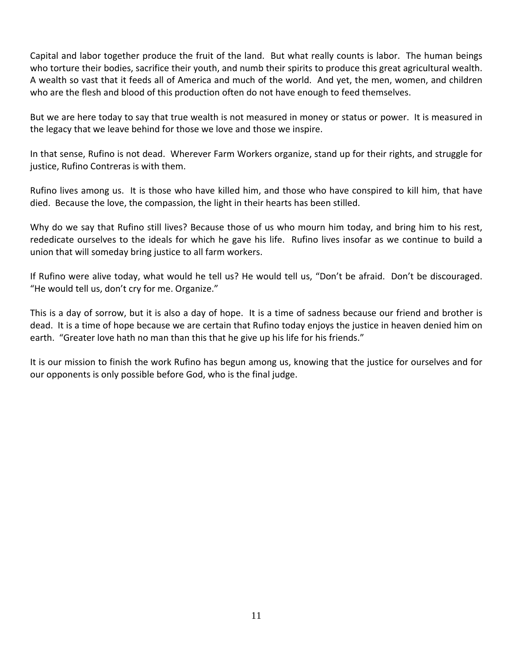Capital and labor together produce the fruit of the land. But what really counts is labor. The human beings who torture their bodies, sacrifice their youth, and numb their spirits to produce this great agricultural wealth. A wealth so vast that it feeds all of America and much of the world. And yet, the men, women, and children who are the flesh and blood of this production often do not have enough to feed themselves.

But we are here today to say that true wealth is not measured in money or status or power. It is measured in the legacy that we leave behind for those we love and those we inspire.

In that sense, Rufino is not dead. Wherever Farm Workers organize, stand up for their rights, and struggle for justice, Rufino Contreras is with them.

Rufino lives among us. It is those who have killed him, and those who have conspired to kill him, that have died. Because the love, the compassion, the light in their hearts has been stilled.

Why do we say that Rufino still lives? Because those of us who mourn him today, and bring him to his rest, rededicate ourselves to the ideals for which he gave his life. Rufino lives insofar as we continue to build a union that will someday bring justice to all farm workers.

If Rufino were alive today, what would he tell us? He would tell us, "Don't be afraid. Don't be discouraged. "He would tell us, don't cry for me. Organize."

This is a day of sorrow, but it is also a day of hope. It is a time of sadness because our friend and brother is dead. It is a time of hope because we are certain that Rufino today enjoys the justice in heaven denied him on earth. "Greater love hath no man than this that he give up his life for his friends."

It is our mission to finish the work Rufino has begun among us, knowing that the justice for ourselves and for our opponents is only possible before God, who is the final judge.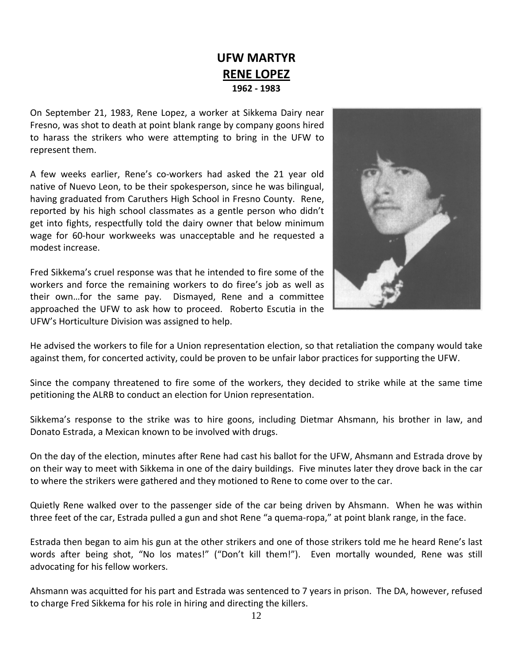# **UFW MARTYR RENE LOPEZ 1962 ‐ 1983**

On September 21, 1983, Rene Lopez, a worker at Sikkema Dairy near Fresno, was shot to death at point blank range by company goons hired to harass the strikers who were attempting to bring in the UFW to represent them.

A few weeks earlier, Rene's co-workers had asked the 21 year old native of Nuevo Leon, to be their spokesperson, since he was bilingual, having graduated from Caruthers High School in Fresno County. Rene, reported by his high school classmates as a gentle person who didn't get into fights, respectfully told the dairy owner that below minimum wage for 60‐hour workweeks was unacceptable and he requested a modest increase.

Fred Sikkema's cruel response was that he intended to fire some of the workers and force the remaining workers to do firee's job as well as their own…for the same pay. Dismayed, Rene and a committee approached the UFW to ask how to proceed. Roberto Escutia in the UFW's Horticulture Division was assigned to help.



He advised the workers to file for a Union representation election, so that retaliation the company would take against them, for concerted activity, could be proven to be unfair labor practices for supporting the UFW.

Since the company threatened to fire some of the workers, they decided to strike while at the same time petitioning the ALRB to conduct an election for Union representation.

Sikkema's response to the strike was to hire goons, including Dietmar Ahsmann, his brother in law, and Donato Estrada, a Mexican known to be involved with drugs.

On the day of the election, minutes after Rene had cast his ballot for the UFW, Ahsmann and Estrada drove by on their way to meet with Sikkema in one of the dairy buildings. Five minutes later they drove back in the car to where the strikers were gathered and they motioned to Rene to come over to the car.

Quietly Rene walked over to the passenger side of the car being driven by Ahsmann. When he was within three feet of the car, Estrada pulled a gun and shot Rene "a quema‐ropa," at point blank range, in the face.

Estrada then began to aim his gun at the other strikers and one of those strikers told me he heard Rene's last words after being shot, "No los mates!" ("Don't kill them!"). Even mortally wounded, Rene was still advocating for his fellow workers.

Ahsmann was acquitted for his part and Estrada was sentenced to 7 years in prison. The DA, however, refused to charge Fred Sikkema for his role in hiring and directing the killers.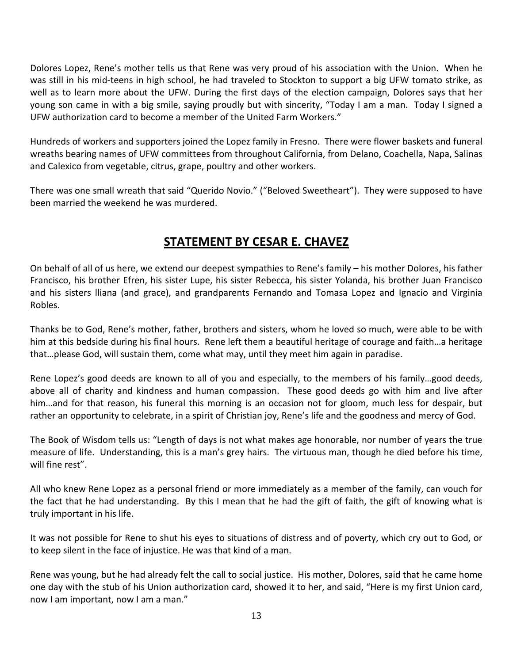Dolores Lopez, Rene's mother tells us that Rene was very proud of his association with the Union. When he was still in his mid-teens in high school, he had traveled to Stockton to support a big UFW tomato strike, as well as to learn more about the UFW. During the first days of the election campaign, Dolores says that her young son came in with a big smile, saying proudly but with sincerity, "Today I am a man. Today I signed a UFW authorization card to become a member of the United Farm Workers."

Hundreds of workers and supporters joined the Lopez family in Fresno. There were flower baskets and funeral wreaths bearing names of UFW committees from throughout California, from Delano, Coachella, Napa, Salinas and Calexico from vegetable, citrus, grape, poultry and other workers.

There was one small wreath that said "Querido Novio." ("Beloved Sweetheart"). They were supposed to have been married the weekend he was murdered.

# **STATEMENT BY CESAR E. CHAVEZ**

On behalf of all of us here, we extend our deepest sympathies to Rene's family – his mother Dolores, his father Francisco, his brother Efren, his sister Lupe, his sister Rebecca, his sister Yolanda, his brother Juan Francisco and his sisters lliana (and grace), and grandparents Fernando and Tomasa Lopez and Ignacio and Virginia Robles.

Thanks be to God, Rene's mother, father, brothers and sisters, whom he loved so much, were able to be with him at this bedside during his final hours. Rene left them a beautiful heritage of courage and faith…a heritage that…please God, will sustain them, come what may, until they meet him again in paradise.

Rene Lopez's good deeds are known to all of you and especially, to the members of his family…good deeds, above all of charity and kindness and human compassion. These good deeds go with him and live after him...and for that reason, his funeral this morning is an occasion not for gloom, much less for despair, but rather an opportunity to celebrate, in a spirit of Christian joy, Rene's life and the goodness and mercy of God.

The Book of Wisdom tells us: "Length of days is not what makes age honorable, nor number of years the true measure of life. Understanding, this is a man's grey hairs. The virtuous man, though he died before his time, will fine rest".

All who knew Rene Lopez as a personal friend or more immediately as a member of the family, can vouch for the fact that he had understanding. By this I mean that he had the gift of faith, the gift of knowing what is truly important in his life.

It was not possible for Rene to shut his eyes to situations of distress and of poverty, which cry out to God, or to keep silent in the face of injustice. He was that kind of a man.

Rene was young, but he had already felt the call to social justice. His mother, Dolores, said that he came home one day with the stub of his Union authorization card, showed it to her, and said, "Here is my first Union card, now I am important, now I am a man."